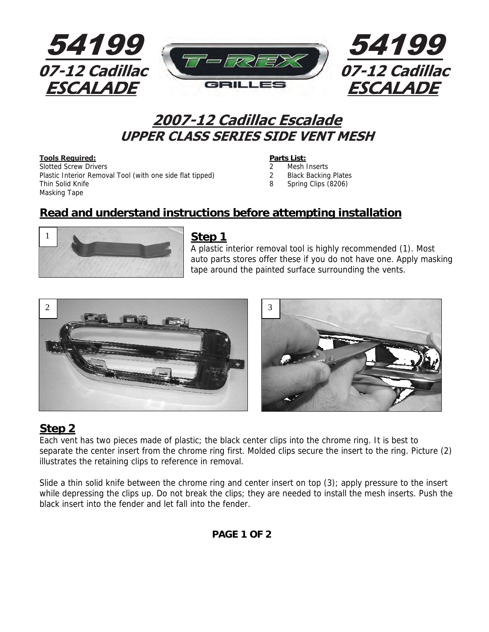

# **2007-12 Cadillac Escalade UPPER CLASS SERIES SIDE VENT MESH**

#### **Tools Required:**<br> **Parts List:**

Slotted Screw Drivers 2 Mesh Inserts Plastic Interior Removal Tool (with one side flat tipped) 2 Black Backing Plates Thin Solid Knife 8 Spring Clips (8206) Masking Tape

- 
- 
- 

## **Read and understand instructions before attempting installation**



#### **Step 1**

A plastic interior removal tool is highly recommended (1). Most auto parts stores offer these if you do not have one. Apply masking tape around the painted surface surrounding the vents.





## **Step 2**

Each vent has two pieces made of plastic; the black center clips into the chrome ring. It is best to separate the center insert from the chrome ring first. Molded clips secure the insert to the ring. Picture (2) illustrates the retaining clips to reference in removal.

Slide a thin solid knife between the chrome ring and center insert on top (3); apply pressure to the insert while depressing the clips up. Do not break the clips; they are needed to install the mesh inserts. Push the black insert into the fender and let fall into the fender.

#### **PAGE 1 OF 2**